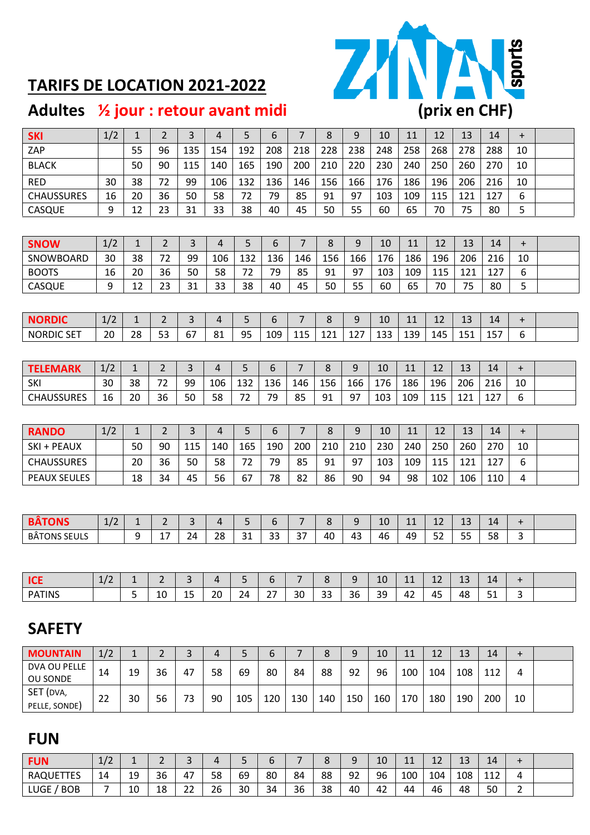

### **TARIFS DE LOCATION 2021-2022**

| <b>SKI</b>          | 1/2 | $\mathbf{1}$ | $\overline{2}$ | $\overline{3}$ | 4              | 5   | 6   | $\overline{7}$ | 8   | 9     | 10  | 11  | 12  | 13  | 14  | $\ddot{}$                        |  |
|---------------------|-----|--------------|----------------|----------------|----------------|-----|-----|----------------|-----|-------|-----|-----|-----|-----|-----|----------------------------------|--|
| ZAP                 |     | 55           | 96             | 135            | 154            | 192 | 208 | 218            | 228 | 238   | 248 | 258 | 268 | 278 | 288 | 10                               |  |
| <b>BLACK</b>        |     | 50           | 90             | 115            | 140            | 165 | 190 | 200            | 210 | 220   | 230 | 240 | 250 | 260 | 270 | 10                               |  |
| <b>RED</b>          | 30  | 38           | 72             | 99             | 106            | 132 | 136 | 146            | 156 | 166   | 176 | 186 | 196 | 206 | 216 | 10                               |  |
| <b>CHAUSSURES</b>   | 16  | 20           | 36             | 50             | 58             | 72  | 79  | 85             | 91  | 97    | 103 | 109 | 115 | 121 | 127 | 6                                |  |
| CASQUE              | 9   | 12           | 23             | 31             | 33             | 38  | 40  | 45             | 50  | 55    | 60  | 65  | 70  | 75  | 80  | 5                                |  |
|                     |     |              |                |                |                |     |     |                |     |       |     |     |     |     |     |                                  |  |
| <b>SNOW</b>         | 1/2 | $\mathbf{1}$ | $\overline{2}$ | 3              | 4              | 5   | 6   | $\overline{7}$ | 8   | 9     | 10  | 11  | 12  | 13  | 14  | $\ddot{}$                        |  |
| SNOWBOARD           | 30  | 38           | 72             | 99             | 106            | 132 | 136 | 146            | 156 | 166   | 176 | 186 | 196 | 206 | 216 | 10                               |  |
| <b>BOOTS</b>        | 16  | 20           | 36             | 50             | 58             | 72  | 79  | 85             | 91  | 97    | 103 | 109 | 115 | 121 | 127 | 6                                |  |
| CASQUE              | 9   | 12           | 23             | 31             | 33             | 38  | 40  | 45             | 50  | 55    | 60  | 65  | 70  | 75  | 80  | 5                                |  |
|                     |     |              |                |                |                |     |     |                |     |       |     |     |     |     |     |                                  |  |
| <b>NORDIC</b>       | 1/2 | $\mathbf{1}$ | $\overline{2}$ | $\overline{3}$ | 4              | 5   | 6   | $\overline{7}$ | 8   | 9     | 10  | 11  | 12  | 13  | 14  | $\ddot{}$                        |  |
| <b>NORDIC SET</b>   | 20  | 28           | 53             | 67             | 81             | 95  | 109 | 115            | 121 | 127   | 133 | 139 | 145 | 151 | 157 | 6                                |  |
|                     |     |              |                |                |                |     |     |                |     |       |     |     |     |     |     |                                  |  |
| <b>TELEMARK</b>     | 1/2 | $\mathbf{1}$ | $\overline{2}$ | 3              | $\overline{4}$ | 5   | 6   | 7              | 8   | 9     | 10  | 11  | 12  | 13  | 14  | $+$                              |  |
| SKI                 | 30  | 38           | 72             | 99             | 106            | 132 | 136 | 146            | 156 | 166   | 176 | 186 | 196 | 206 | 216 | 10                               |  |
| <b>CHAUSSURES</b>   | 16  | 20           | 36             | 50             | 58             | 72  | 79  | 85             | 91  | 97    | 103 | 109 | 115 | 121 | 127 | 6                                |  |
|                     |     |              |                |                |                |     |     |                |     |       |     |     |     |     |     |                                  |  |
| <b>RANDO</b>        | 1/2 | $\mathbf{1}$ | $\overline{2}$ | $\overline{3}$ | $\overline{4}$ | 5   | 6   | $\overline{7}$ | 8   | $9\,$ | 10  | 11  | 12  | 13  | 14  | $\begin{array}{c} + \end{array}$ |  |
| SKI + PEAUX         |     | 50           | 90             | 115            | 140            | 165 | 190 | 200            | 210 | 210   | 230 | 240 | 250 | 260 | 270 | 10                               |  |
| <b>CHAUSSURES</b>   |     | 20           | 36             | 50             | 58             | 72  | 79  | 85             | 91  | 97    | 103 | 109 | 115 | 121 | 127 | 6                                |  |
| <b>PEAUX SEULES</b> |     | 18           | 34             | 45             | 56             | 67  | 78  | 82             | 86  | 90    | 94  | 98  | 102 | 106 | 110 | 4                                |  |
|                     |     |              |                |                |                |     |     |                |     |       |     |     |     |     |     |                                  |  |
|                     |     |              |                |                |                |     |     |                |     |       |     |     |     |     |     |                                  |  |
| <b>BÂTONS</b>       | 1/2 | $\mathbf{1}$ | 2              | 3              | $\overline{4}$ | 5   | 6   | 7              | 8   | 9     | 10  | 11  | 12  | 13  | 14  | $\ddot{}$                        |  |
| <b>BÂTONS SEULS</b> |     | 9            | 17             | 24             | 28             | 31  | 33  | 37             | 40  | 43    | 46  | 49  | 52  | 55  | 58  | 3                                |  |
|                     |     |              |                |                |                |     |     |                |     |       |     |     |     |     |     |                                  |  |
|                     |     |              |                |                |                |     |     |                |     |       |     |     |     |     |     |                                  |  |
| <b>ICE</b>          | 1/2 | 1            | $\overline{2}$ | 3              | 4              | 5   | 6   | $\overline{7}$ | 8   | 9     | 10  | 11  | 12  | 13  | 14  | $\pm$                            |  |
| <b>PATINS</b>       |     | 5            | 10             | 15             | 20             | 24  | 27  | 30             | 33  | 36    | 39  | 42  | 45  | 48  | 51  | 3                                |  |
|                     |     |              |                |                |                |     |     |                |     |       |     |     |     |     |     |                                  |  |
| <b>SAFETY</b>       |     |              |                |                |                |     |     |                |     |       |     |     |     |     |     |                                  |  |
|                     |     |              |                |                |                |     |     |                |     |       |     |     |     |     |     |                                  |  |
| <b>MOUNTAIN</b>     | 1/2 | $\mathbf{1}$ | $\overline{2}$ | 3              | 4              | 5   | 6   | 7              | 8   | 9     | 10  | 11  | 12  | 13  | 14  | $\ddot{}$                        |  |

| <b>IVIUUN LAIN</b> | 1/2 |    | <u>_</u> | ັ  | 4  |     | O   |     |     | ີ   | τn  | ᆚᆚ  | ΤT  | IJ  | 14  |    |  |
|--------------------|-----|----|----------|----|----|-----|-----|-----|-----|-----|-----|-----|-----|-----|-----|----|--|
| DVA OU PELLE       | 14  | 19 | 36       | 47 | 58 | 69  | 80  | 84  | 88  | -92 | 96  | 100 | 104 | 108 | 112 | 4  |  |
| <b>OU SONDE</b>    |     |    |          |    |    |     |     |     |     |     |     |     |     |     |     |    |  |
| SET (DVA,          |     |    |          |    |    |     |     |     |     |     |     |     |     |     |     |    |  |
| PELLE, SONDE)      | 22  | 30 | 56       | 73 | 90 | 105 | 120 | 130 | 140 | 150 | 160 | 170 | 180 | 190 | 200 | 10 |  |
|                    |     |    |          |    |    |     |     |     |     |     |     |     |     |     |     |    |  |

#### **FUN**

| <b>FUN</b>         | $\sqrt{ }$<br>$+1$ | -- | $\overline{\phantom{0}}$<br>- |              |    |    |    |    |    | a<br>$\overline{\phantom{a}}$ | 10 | 11<br>. | $\sim$<br><b></b> | $\sim$<br>ᅩ | 14         |        |  |
|--------------------|--------------------|----|-------------------------------|--------------|----|----|----|----|----|-------------------------------|----|---------|-------------------|-------------|------------|--------|--|
| <b>RAQUETTES</b>   | 14                 | 19 | 36                            | 47           | 58 | 69 | 80 | 84 | 88 | 92                            | 96 | 100     | 104               | 108         | 112<br>ᆠᆠᄼ | Δ      |  |
| LUGE<br><b>BOB</b> |                    | 10 | 18                            | $\sim$<br>zz | 26 | 30 | 34 | 36 | 38 | 40                            | 42 | 44      | 46                | 48          | 50         | ∽<br>- |  |